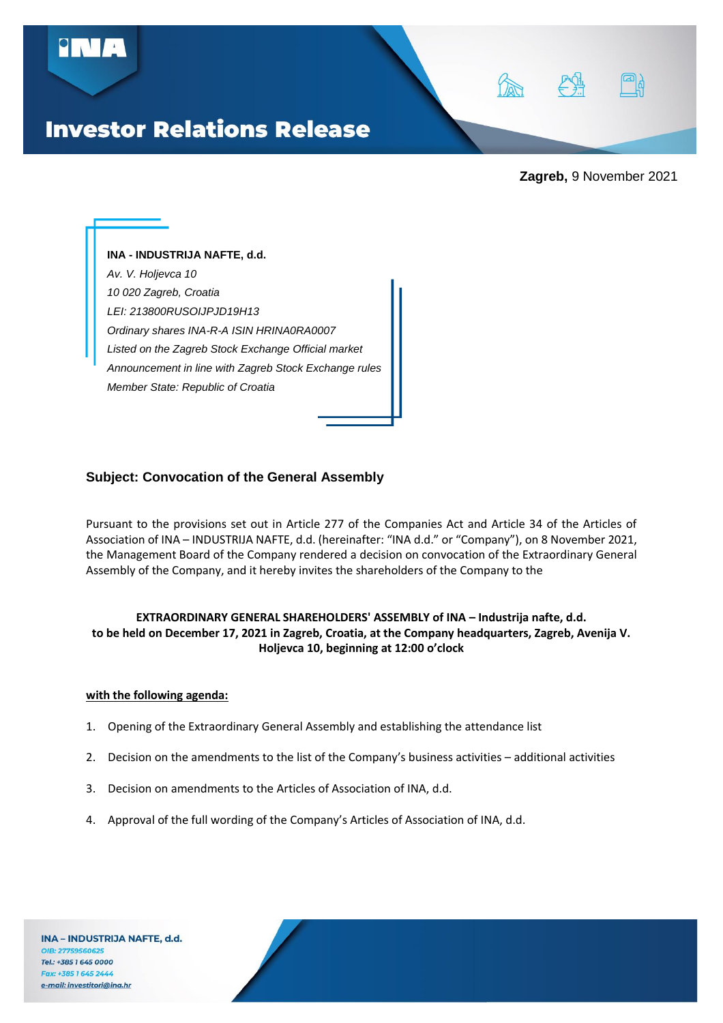

**Zagreb,** 9 November 2021

**INA - INDUSTRIJA NAFTE, d.d.** *Av. V. Holjevca 10 10 020 Zagreb, Croatia LEI: 213800RUSOIJPJD19H13 Ordinary shares INA-R-A ISIN HRINA0RA0007 Listed on the Zagreb Stock Exchange Official market Announcement in line with Zagreb Stock Exchange rules Member State: Republic of Croatia*

# **Subject: Convocation of the General Assembly**

Pursuant to the provisions set out in Article 277 of the Companies Act and Article 34 of the Articles of Association of INA – INDUSTRIJA NAFTE, d.d. (hereinafter: "INA d.d." or "Company"), on 8 November 2021, the Management Board of the Company rendered a decision on convocation of the Extraordinary General Assembly of the Company, and it hereby invites the shareholders of the Company to the

# **EXTRAORDINARY GENERAL SHAREHOLDERS' ASSEMBLY of INA – Industrija nafte, d.d. to be held on December 17, 2021 in Zagreb, Croatia, at the Company headquarters, Zagreb, Avenija V. Holjevca 10, beginning at 12:00 o'clock**

#### **with the following agenda:**

- 1. Opening of the Extraordinary General Assembly and establishing the attendance list
- 2. Decision on the amendments to the list of the Company's business activities additional activities
- 3. Decision on amendments to the Articles of Association of INA, d.d.
- 4. Approval of the full wording of the Company's Articles of Association of INA, d.d.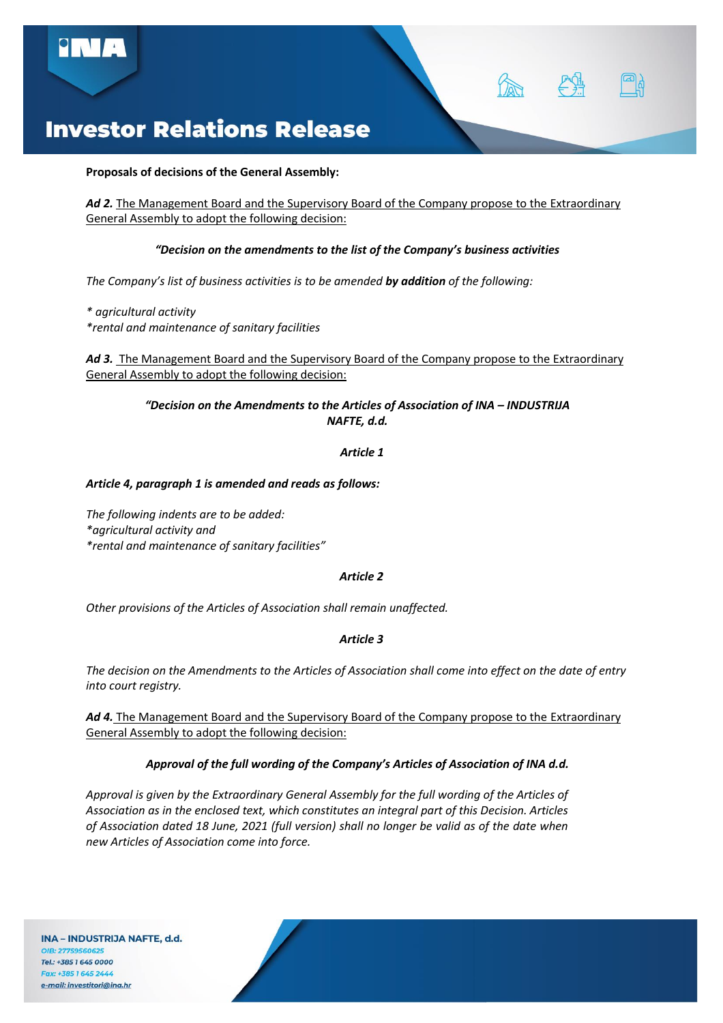

#### **Proposals of decisions of the General Assembly:**

*Ad 2.* The Management Board and the Supervisory Board of the Company propose to the Extraordinary General Assembly to adopt the following decision:

### *"Decision on the amendments to the list of the Company's business activities*

*The Company's list of business activities is to be amended by addition of the following:*

*\* agricultural activity \*rental and maintenance of sanitary facilities*

Ad 3. The Management Board and the Supervisory Board of the Company propose to the Extraordinary General Assembly to adopt the following decision:

### *"Decision on the Amendments to the Articles of Association of INA – INDUSTRIJA NAFTE, d.d.*

### *Article 1*

#### *Article 4, paragraph 1 is amended and reads as follows:*

*The following indents are to be added: \*agricultural activity and \*rental and maintenance of sanitary facilities"* 

#### *Article 2*

*Other provisions of the Articles of Association shall remain unaffected.*

# *Article 3*

*The decision on the Amendments to the Articles of Association shall come into effect on the date of entry into court registry.*

Ad 4. The Management Board and the Supervisory Board of the Company propose to the Extraordinary General Assembly to adopt the following decision:

# *Approval of the full wording of the Company's Articles of Association of INA d.d.*

*Approval is given by the Extraordinary General Assembly for the full wording of the Articles of Association as in the enclosed text, which constitutes an integral part of this Decision. Articles of Association dated 18 June, 2021 (full version) shall no longer be valid as of the date when new Articles of Association come into force.*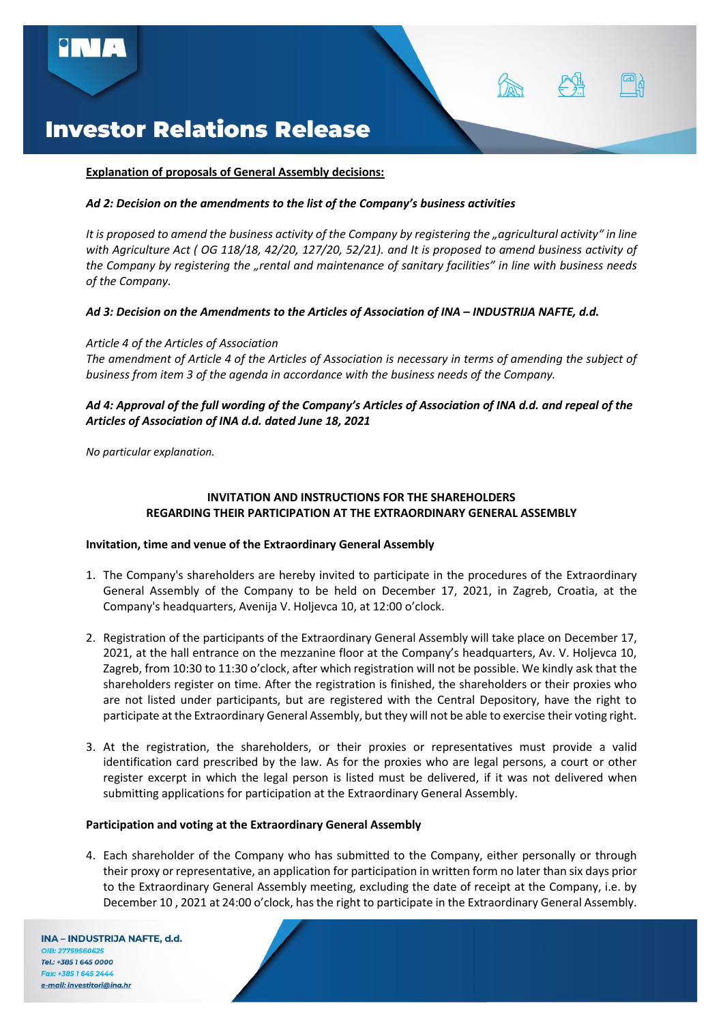### **Explanation of proposals of General Assembly decisions:**

### *Ad 2: Decision on the amendments to the list of the Company's business activities*

*It is proposed to amend the business activity of the Company by registering the "agricultural activity" in line with Agriculture Act ( OG 118/18, 42/20, 127/20, 52/21). and It is proposed to amend business activity of the Company by registering the "rental and maintenance of sanitary facilities" in line with business needs of the Company.*

# *Ad 3: Decision on the Amendments to the Articles of Association of INA – INDUSTRIJA NAFTE, d.d.*

### *Article 4 of the Articles of Association*

*The amendment of Article 4 of the Articles of Association is necessary in terms of amending the subject of business from item 3 of the agenda in accordance with the business needs of the Company.*

# *Ad 4: Approval of the full wording of the Company's Articles of Association of INA d.d. and repeal of the Articles of Association of INA d.d. dated June 18, 2021*

*No particular explanation.*

# **INVITATION AND INSTRUCTIONS FOR THE SHAREHOLDERS REGARDING THEIR PARTICIPATION AT THE EXTRAORDINARY GENERAL ASSEMBLY**

# **Invitation, time and venue of the Extraordinary General Assembly**

- 1. The Company's shareholders are hereby invited to participate in the procedures of the Extraordinary General Assembly of the Company to be held on December 17, 2021, in Zagreb, Croatia, at the Company's headquarters, Avenija V. Holjevca 10, at 12:00 o'clock.
- 2. Registration of the participants of the Extraordinary General Assembly will take place on December 17, 2021, at the hall entrance on the mezzanine floor at the Company's headquarters, Av. V. Holjevca 10, Zagreb, from 10:30 to 11:30 o'clock, after which registration will not be possible. We kindly ask that the shareholders register on time. After the registration is finished, the shareholders or their proxies who are not listed under participants, but are registered with the Central Depository, have the right to participate at the Extraordinary General Assembly, but they will not be able to exercise their voting right.
- 3. At the registration, the shareholders, or their proxies or representatives must provide a valid identification card prescribed by the law. As for the proxies who are legal persons, a court or other register excerpt in which the legal person is listed must be delivered, if it was not delivered when submitting applications for participation at the Extraordinary General Assembly.

#### **Participation and voting at the Extraordinary General Assembly**

4. Each shareholder of the Company who has submitted to the Company, either personally or through their proxy or representative, an application for participation in written form no later than six days prior to the Extraordinary General Assembly meeting, excluding the date of receipt at the Company, i.e. by December 10 , 2021 at 24:00 o'clock, has the right to participate in the Extraordinary General Assembly.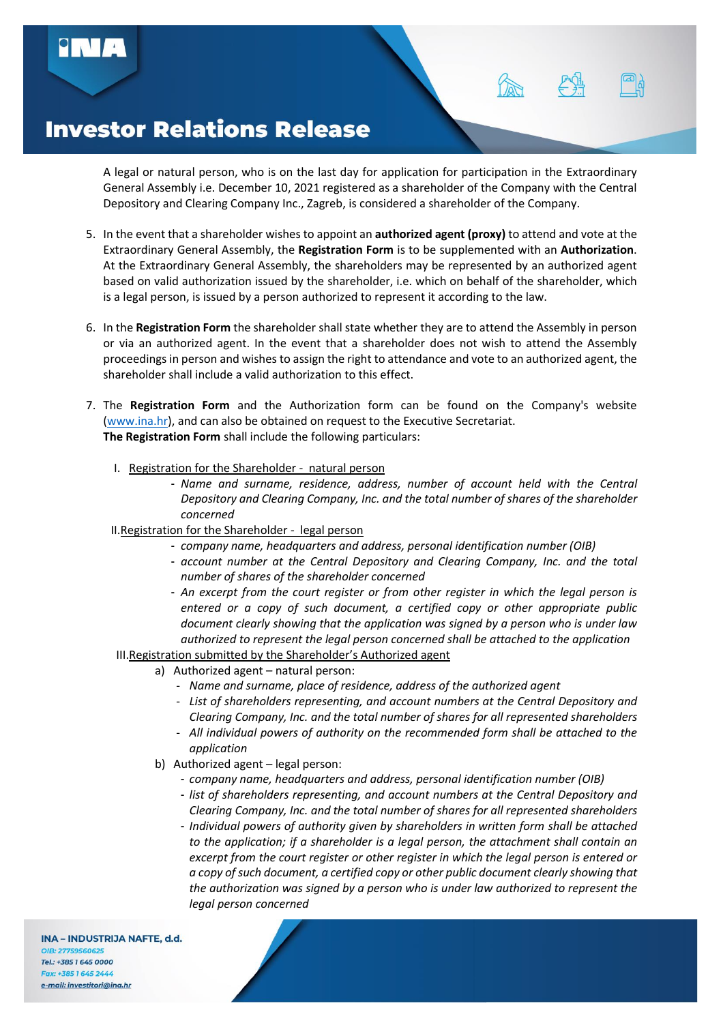A legal or natural person, who is on the last day for application for participation in the Extraordinary General Assembly i.e. December 10, 2021 registered as a shareholder of the Company with the Central Depository and Clearing Company Inc., Zagreb, is considered a shareholder of the Company.

- 5. In the event that a shareholder wishes to appoint an **authorized agent (proxy)** to attend and vote at the Extraordinary General Assembly, the **Registration Form** is to be supplemented with an **Authorization**. At the Extraordinary General Assembly, the shareholders may be represented by an authorized agent based on valid authorization issued by the shareholder, i.e. which on behalf of the shareholder, which is a legal person, is issued by a person authorized to represent it according to the law.
- 6. In the **Registration Form** the shareholder shall state whether they are to attend the Assembly in person or via an authorized agent. In the event that a shareholder does not wish to attend the Assembly proceedings in person and wishes to assign the right to attendance and vote to an authorized agent, the shareholder shall include a valid authorization to this effect.
- 7. The **Registration Form** and the Authorization form can be found on the Company's website [\(www.ina.hr\)](http://www.ina.hr/), and can also be obtained on request to the Executive Secretariat. **The Registration Form** shall include the following particulars:
	- I. Registration for the Shareholder natural person
		- *Name and surname, residence, address, number of account held with the Central Depository and Clearing Company, Inc. and the total number of shares of the shareholder concerned*
	- II.Registration for the Shareholder legal person
		- *company name, headquarters and address, personal identification number (OIB)*
		- *account number at the Central Depository and Clearing Company, Inc. and the total number of shares of the shareholder concerned*
		- *An excerpt from the court register or from other register in which the legal person is entered or a copy of such document, a certified copy or other appropriate public document clearly showing that the application was signed by a person who is under law authorized to represent the legal person concerned shall be attached to the application*
	- III.Registration submitted by the Shareholder's Authorized agent
		- a) Authorized agent natural person:
			- ‐ *Name and surname, place of residence, address of the authorized agent*
			- ‐ *List of shareholders representing, and account numbers at the Central Depository and Clearing Company, Inc. and the total number of shares for all represented shareholders*
			- ‐ *All individual powers of authority on the recommended form shall be attached to the application*
		- b) Authorized agent legal person:
			- *company name, headquarters and address, personal identification number (OIB)*
			- *list of shareholders representing, and account numbers at the Central Depository and Clearing Company, Inc. and the total number of shares for all represented shareholders*
			- *Individual powers of authority given by shareholders in written form shall be attached to the application; if a shareholder is a legal person, the attachment shall contain an excerpt from the court register or other register in which the legal person is entered or a copy of such document, a certified copy or other public document clearly showing that the authorization was signed by a person who is under law authorized to represent the legal person concerned*

INA - INDUSTRIJA NAFTE, d.d. OIR: 27759560625 Tel.: +385 1 645 0000 Fax: +385 1645 2444 e-mail: investitori@ina.hr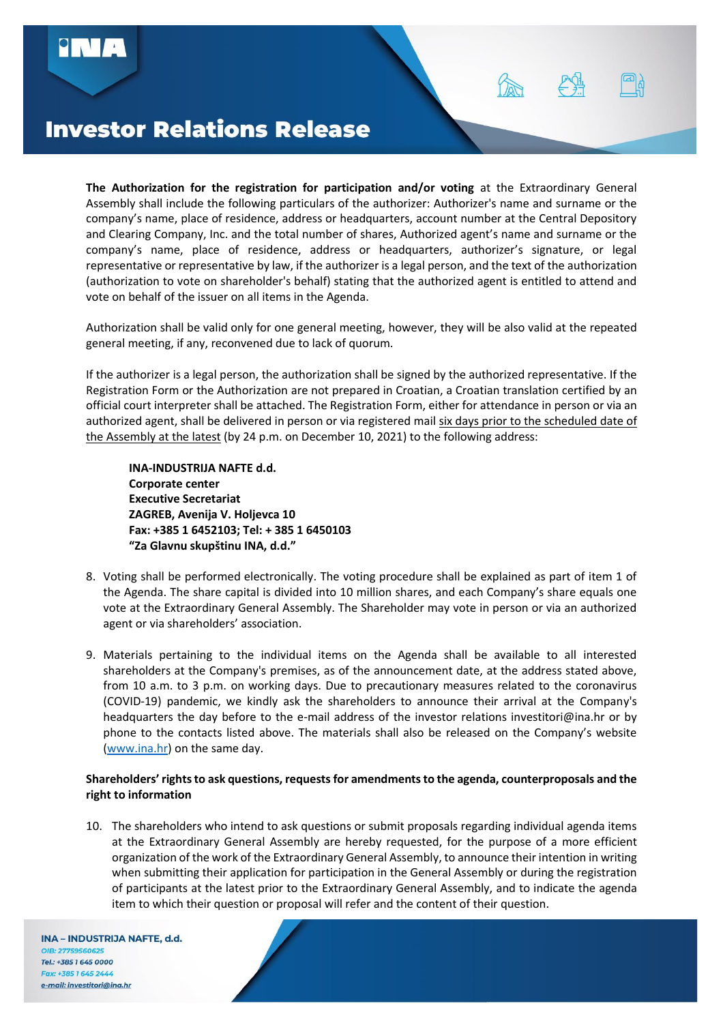

**The Authorization for the registration for participation and/or voting** at the Extraordinary General Assembly shall include the following particulars of the authorizer: Authorizer's name and surname or the company's name, place of residence, address or headquarters, account number at the Central Depository and Clearing Company, Inc. and the total number of shares, Authorized agent's name and surname or the company's name, place of residence, address or headquarters, authorizer's signature, or legal representative or representative by law, if the authorizer is a legal person, and the text of the authorization (authorization to vote on shareholder's behalf) stating that the authorized agent is entitled to attend and vote on behalf of the issuer on all items in the Agenda.

Authorization shall be valid only for one general meeting, however, they will be also valid at the repeated general meeting, if any, reconvened due to lack of quorum.

If the authorizer is a legal person, the authorization shall be signed by the authorized representative. If the Registration Form or the Authorization are not prepared in Croatian, a Croatian translation certified by an official court interpreter shall be attached. The Registration Form, either for attendance in person or via an authorized agent, shall be delivered in person or via registered mail six days prior to the scheduled date of the Assembly at the latest (by 24 p.m. on December 10, 2021) to the following address:

**INA-INDUSTRIJA NAFTE d.d. Corporate center Executive Secretariat ZAGREB, Avenija V. Holjevca 10 Fax: +385 1 6452103; Tel: + 385 1 6450103 "Za Glavnu skupštinu INA, d.d."**

- 8. Voting shall be performed electronically. The voting procedure shall be explained as part of item 1 of the Agenda. The share capital is divided into 10 million shares, and each Company's share equals one vote at the Extraordinary General Assembly. The Shareholder may vote in person or via an authorized agent or via shareholders' association.
- 9. Materials pertaining to the individual items on the Agenda shall be available to all interested shareholders at the Company's premises, as of the announcement date, at the address stated above, from 10 a.m. to 3 p.m. on working days. Due to precautionary measures related to the coronavirus (COVID-19) pandemic, we kindly ask the shareholders to announce their arrival at the Company's headquarters the day before to the e-mail address of the investor relations investitori@ina.hr or by phone to the contacts listed above. The materials shall also be released on the Company's website [\(www.ina.hr\)](http://www.ina.hr/) on the same day.

# **Shareholders' rights to ask questions, requestsfor amendments to the agenda, counterproposals and the right to information**

10. The shareholders who intend to ask questions or submit proposals regarding individual agenda items at the Extraordinary General Assembly are hereby requested, for the purpose of a more efficient organization of the work of the Extraordinary General Assembly, to announce their intention in writing when submitting their application for participation in the General Assembly or during the registration of participants at the latest prior to the Extraordinary General Assembly, and to indicate the agenda item to which their question or proposal will refer and the content of their question.